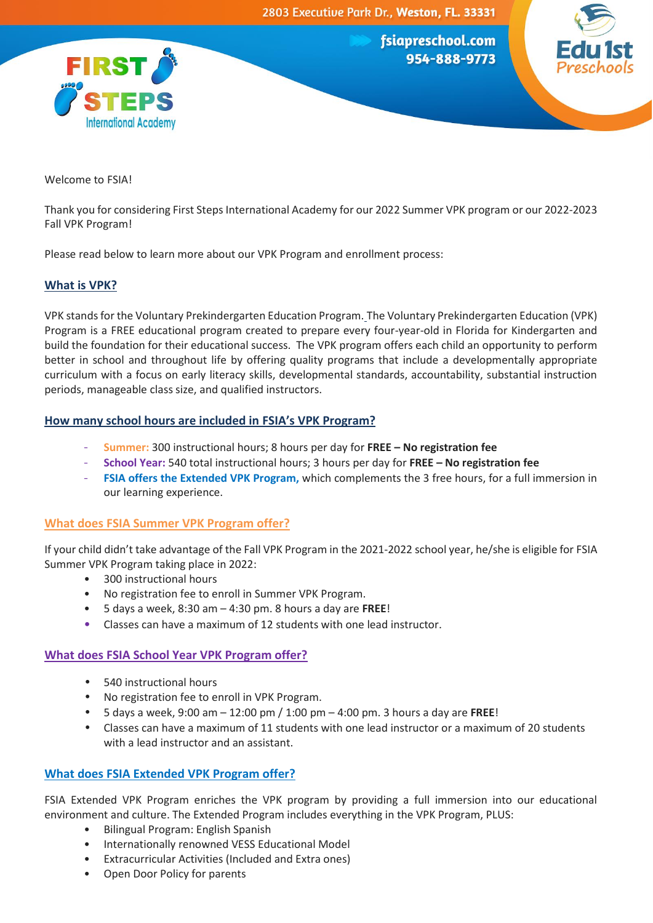



Welcome to FSIA!

Thank you for considering First Steps International Academy for our 2022 Summer VPK program or our 2022-2023 Fall VPK Program!

Please read below to learn more about our VPK Program and enrollment process:

# **What is VPK?**

VPK stands for the Voluntary Prekindergarten Education Program. The Voluntary Prekindergarten Education (VPK) Program is a FREE educational program created to prepare every four-year-old in Florida for Kindergarten and build the foundation for their educational success. The VPK program offers each child an opportunity to perform better in school and throughout life by offering quality programs that include a developmentally appropriate curriculum with a focus on early literacy skills, developmental standards, accountability, substantial instruction periods, manageable class size, and qualified instructors.

# **How many school hours are included in FSIA's VPK Program?**

- **Summer:** 300 instructional hours; 8 hours per day for **FREE – No registration fee**
- **School Year:** 540 total instructional hours; 3 hours per day for **FREE – No registration fee**
- **FSIA offers the Extended VPK Program,** which complements the 3 free hours, for a full immersion in our learning experience.

# **What does FSIA Summer VPK Program offer?**

If your child didn't take advantage of the Fall VPK Program in the 2021-2022 school year, he/she is eligible for FSIA Summer VPK Program taking place in 2022:

- 300 instructional hours
- No registration fee to enroll in Summer VPK Program.
- 5 days a week, 8:30 am 4:30 pm. 8 hours a day are **FREE**!
- Classes can have a maximum of 12 students with one lead instructor.

# **What does FSIA School Year VPK Program offer?**

- 540 instructional hours
- No registration fee to enroll in VPK Program.
- 5 days a week, 9:00 am 12:00 pm / 1:00 pm 4:00 pm. 3 hours a day are **FREE**!
- Classes can have a maximum of 11 students with one lead instructor or a maximum of 20 students with a lead instructor and an assistant.

# **What does FSIA Extended VPK Program offer?**

FSIA Extended VPK Program enriches the VPK program by providing a full immersion into our educational environment and culture. The Extended Program includes everything in the VPK Program, PLUS:

- Bilingual Program: English Spanish
- Internationally renowned VESS Educational Model
- Extracurricular Activities (Included and Extra ones)
- Open Door Policy for parents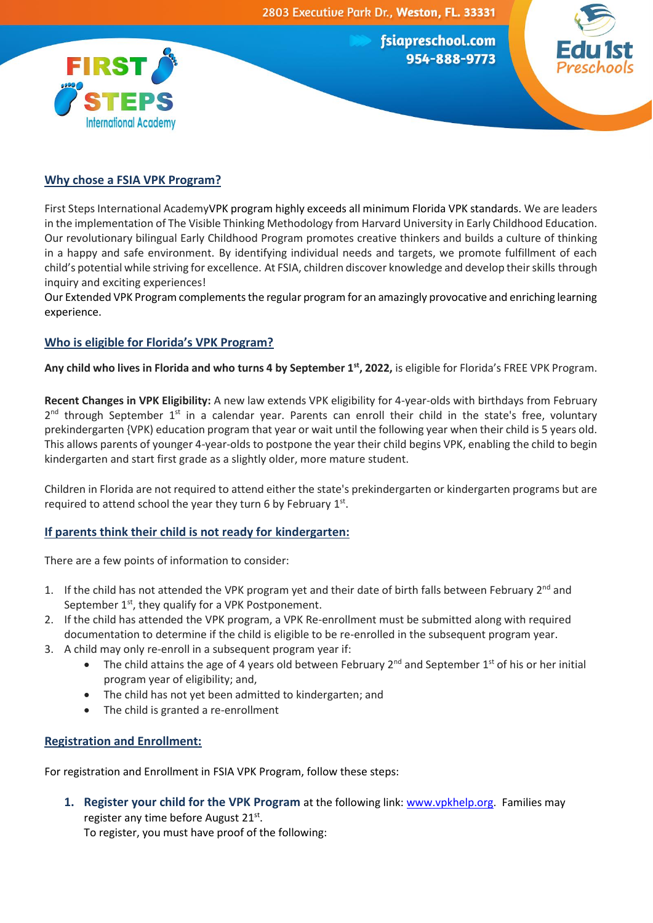



**International Academy** 

**FIRST** 

First Steps International AcademyVPK program highly exceeds all minimum Florida VPK standards. We are leaders in the implementation of The Visible Thinking Methodology from Harvard University in Early Childhood Education. Our revolutionary bilingual Early Childhood Program promotes creative thinkers and builds a culture of thinking in a happy and safe environment. By identifying individual needs and targets, we promote fulfillment of each child's potential while striving for excellence. At FSIA, children discover knowledge and develop their skills through inquiry and exciting experiences!

Our Extended VPK Program complements the regular program for an amazingly provocative and enriching learning experience.

# **Who is eligible for Florida's VPK Program?**

**Any child who lives in Florida and who turns 4 by September 1st , 2022,** is eligible for Florida's FREE VPK Program.

**Recent Changes in VPK Eligibility:** A new law extends VPK eligibility for 4-year-olds with birthdays from February 2<sup>nd</sup> through September 1<sup>st</sup> in a calendar year. Parents can enroll their child in the state's free, voluntary prekindergarten {VPK) education program that year or wait until the following year when their child is 5 years old. This allows parents of younger 4-year-olds to postpone the year their child begins VPK, enabling the child to begin kindergarten and start first grade as a slightly older, more mature student.

Children in Florida are not required to attend either the state's prekindergarten or kindergarten programs but are required to attend school the year they turn 6 by February 1st.

# **If parents think their child is not ready for kindergarten:**

There are a few points of information to consider:

- 1. If the child has not attended the VPK program yet and their date of birth falls between February 2<sup>nd</sup> and September 1<sup>st</sup>, they qualify for a VPK Postponement.
- 2. If the child has attended the VPK program, a VPK Re-enrollment must be submitted along with required documentation to determine if the child is eligible to be re-enrolled in the subsequent program year.
- 3. A child may only re-enroll in a subsequent program year if:
	- The child attains the age of 4 years old between February  $2^{nd}$  and September  $1^{st}$  of his or her initial program year of eligibility; and,
	- The child has not yet been admitted to kindergarten; and
	- The child is granted a re-enrollment

### **Registration and Enrollment:**

For registration and Enrollment in FSIA VPK Program, follow these steps:

**1. Register your child for the VPK Program** at the following link[: www.vpkhelp.org.](http://www.vpkhelp.org/) Families may register any time before August 21st.

To register, you must have proof of the following: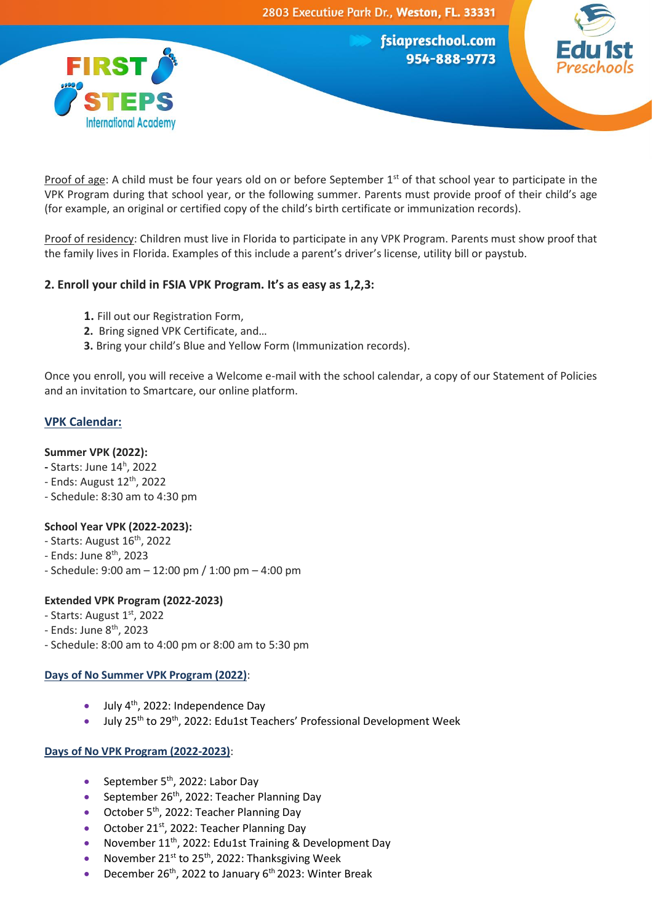



Proof of age: A child must be four years old on or before September  $1<sup>st</sup>$  of that school year to participate in the VPK Program during that school year, or the following summer. Parents must provide proof of their child's age (for example, an original or certified copy of the child's birth certificate or immunization records).

Proof of residency: Children must live in Florida to participate in any VPK Program. Parents must show proof that the family lives in Florida. Examples of this include a parent's driver's license, utility bill or paystub.

# **2. Enroll your child in FSIA VPK Program. It's as easy as 1,2,3:**

- **1.** Fill out our Registration Form,
- **2.** Bring signed VPK Certificate, and…
- **3.** Bring your child's Blue and Yellow Form (Immunization records).

Once you enroll, you will receive a Welcome e-mail with the school calendar, a copy of our Statement of Policies and an invitation to Smartcare, our online platform.

# **VPK Calendar:**

### **Summer VPK (2022):**

- **-** Starts: June 14<sup>h</sup> , 2022
- $-$  Ends: August  $12<sup>th</sup>$ , 2022
- Schedule: 8:30 am to 4:30 pm

# **School Year VPK (2022-2023):**

- Starts: August 16<sup>th</sup>, 2022
- Ends: June 8<sup>th</sup>, 2023
- Schedule: 9:00 am 12:00 pm / 1:00 pm 4:00 pm

# **Extended VPK Program (2022-2023)**

- Starts: August 1<sup>st</sup>, 2022
- Ends: June 8th, 2023
- Schedule: 8:00 am to 4:00 pm or 8:00 am to 5:30 pm

### **Days of No Summer VPK Program (2022)**:

- July  $4^{th}$ , 2022: Independence Day
- July 25th to 29th, 2022: Edu1st Teachers' Professional Development Week

# **Days of No VPK Program (2022-2023)**:

- September  $5<sup>th</sup>$ , 2022: Labor Day
- September 26<sup>th</sup>, 2022: Teacher Planning Day
- October 5<sup>th</sup>, 2022: Teacher Planning Day
- October 21<sup>st</sup>, 2022: Teacher Planning Day
- November 11<sup>th</sup>, 2022: Edu1st Training & Development Day
- November 21<sup>st</sup> to 25<sup>th</sup>, 2022: Thanksgiving Week
- December 26<sup>th</sup>, 2022 to January 6<sup>th</sup> 2023: Winter Break